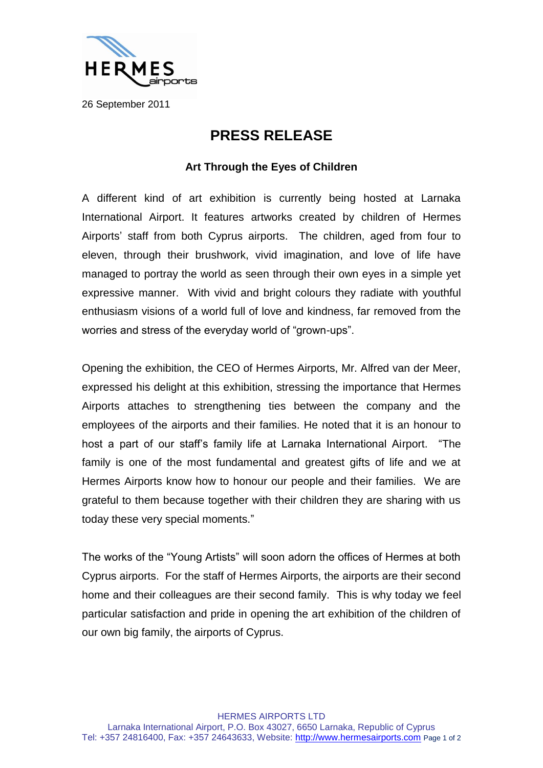

26 September 2011

## **PRESS RELEASE**

## **Art Through the Eyes of Children**

A different kind of art exhibition is currently being hosted at Larnaka International Airport. It features artworks created by children of Hermes Airports' staff from both Cyprus airports. The children, aged from four to eleven, through their brushwork, vivid imagination, and love of life have managed to portray the world as seen through their own eyes in a simple yet expressive manner. With vivid and bright colours they radiate with youthful enthusiasm visions of a world full of love and kindness, far removed from the worries and stress of the everyday world of "grown-ups".

Opening the exhibition, the CEO of Hermes Airports, Mr. Alfred van der Meer, expressed his delight at this exhibition, stressing the importance that Hermes Airports attaches to strengthening ties between the company and the employees of the airports and their families. He noted that it is an honour to host a part of our staff's family life at Larnaka International Airport. "The family is one of the most fundamental and greatest gifts of life and we at Hermes Airports know how to honour our people and their families. We are grateful to them because together with their children they are sharing with us today these very special moments."

The works of the "Young Artists" will soon adorn the offices of Hermes at both Cyprus airports. For the staff of Hermes Airports, the airports are their second home and their colleagues are their second family. This is why today we feel particular satisfaction and pride in opening the art exhibition of the children of our own big family, the airports of Cyprus.